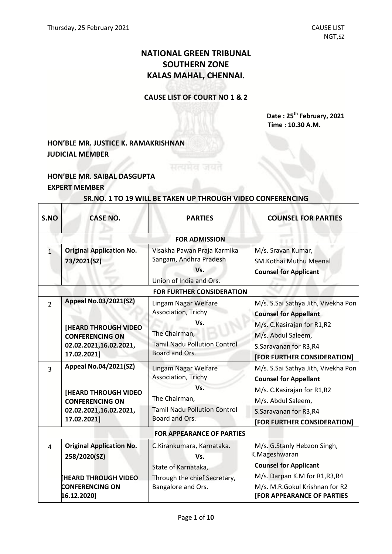# **NATIONAL GREEN TRIBUNAL SOUTHERN ZONE KALAS MAHAL, CHENNAI.**

#### **CAUSE LIST OF COURT NO 1 & 2**

**Date : 25 th February, 2021 Time : 10.30 A.M.**

## **HON'BLE MR. JUSTICE K. RAMAKRISHNAN JUDICIAL MEMBER**

### **HON'BLE MR. SAIBAL DASGUPTA EXPERT MEMBER**

 $\Gamma$ 

#### **SR.NO. 1 TO 19 WILL BE TAKEN UP THROUGH VIDEO CONFERENCING**

| S.NO                             | <b>CASE NO.</b>                                                                                | <b>PARTIES</b>                                                                          | <b>COUNSEL FOR PARTIES</b>                                                                                                            |  |
|----------------------------------|------------------------------------------------------------------------------------------------|-----------------------------------------------------------------------------------------|---------------------------------------------------------------------------------------------------------------------------------------|--|
|                                  |                                                                                                | <b>FOR ADMISSION</b>                                                                    |                                                                                                                                       |  |
| $\mathbf{1}$                     | <b>Original Application No.</b><br>73/2021(SZ)                                                 | Visakha Pawan Praja Karmika<br>Sangam, Andhra Pradesh<br>Vs.<br>Union of India and Ors. | M/s. Sravan Kumar,<br><b>SM.Kothai Muthu Meenal</b><br><b>Counsel for Applicant</b>                                                   |  |
| <b>FOR FURTHER CONSIDERATION</b> |                                                                                                |                                                                                         |                                                                                                                                       |  |
| $\overline{2}$                   | <b>Appeal No.03/2021(SZ)</b><br><b>[HEARD THROUGH VIDEO</b><br><b>CONFERENCING ON</b>          | Lingam Nagar Welfare<br>Association, Trichy<br>Vs.<br>The Chairman,                     | M/s. S.Sai Sathya Jith, Vivekha Pon<br><b>Counsel for Appellant</b><br>M/s. C. Kasirajan for R1, R2<br>M/s. Abdul Saleem,             |  |
|                                  | 02.02.2021,16.02.2021,<br>17.02.2021]                                                          | <b>Tamil Nadu Pollution Control</b><br>Board and Ors.                                   | S.Saravanan for R3,R4<br>[FOR FURTHER CONSIDERATION]                                                                                  |  |
| 3                                | <b>Appeal No.04/2021(SZ)</b>                                                                   | Lingam Nagar Welfare<br>Association, Trichy                                             | M/s. S.Sai Sathya Jith, Vivekha Pon<br><b>Counsel for Appellant</b>                                                                   |  |
|                                  | <b>[HEARD THROUGH VIDEO</b><br><b>CONFERENCING ON</b><br>02.02.2021,16.02.2021,<br>17.02.2021] | Vs.<br>The Chairman,<br><b>Tamil Nadu Pollution Control</b><br>Board and Ors.           | M/s. C. Kasirajan for R1, R2<br>M/s. Abdul Saleem,<br>S.Saravanan for R3,R4<br>[FOR FURTHER CONSIDERATION]                            |  |
| <b>FOR APPEARANCE OF PARTIES</b> |                                                                                                |                                                                                         |                                                                                                                                       |  |
| 4                                | <b>Original Application No.</b><br>258/2020(SZ)                                                | C.Kirankumara, Karnataka.<br>Vs.                                                        | M/s. G.Stanly Hebzon Singh,<br>K.Mageshwaran                                                                                          |  |
|                                  | <b>HEARD THROUGH VIDEO</b><br><b>CONFERENCING ON</b><br>16.12.2020]                            | State of Karnataka,<br>Through the chief Secretary,<br>Bangalore and Ors.               | <b>Counsel for Applicant</b><br>M/s. Darpan K.M for R1, R3, R4<br>M/s. M.R.Gokul Krishnan for R2<br><b>[FOR APPEARANCE OF PARTIES</b> |  |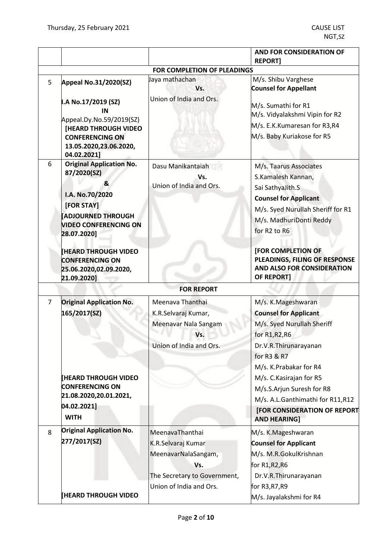|                |                                                                                                                                                                 |                                                                                                     | <b>AND FOR CONSIDERATION OF</b><br><b>REPORT]</b>                                                                                                                                                        |
|----------------|-----------------------------------------------------------------------------------------------------------------------------------------------------------------|-----------------------------------------------------------------------------------------------------|----------------------------------------------------------------------------------------------------------------------------------------------------------------------------------------------------------|
|                |                                                                                                                                                                 | FOR COMPLETION OF PLEADINGS                                                                         |                                                                                                                                                                                                          |
| 5              | Appeal No.31/2020(SZ)                                                                                                                                           | Jaya mathachan<br>Vs.<br>Union of India and Ors.                                                    | M/s. Shibu Varghese<br><b>Counsel for Appellant</b>                                                                                                                                                      |
|                | I.A No.17/2019 (SZ)<br>IN<br>Appeal.Dy.No.59/2019(SZ)<br><b>[HEARD THROUGH VIDEO</b><br><b>CONFERENCING ON</b><br>13.05.2020,23.06.2020,<br>04.02.2021]         |                                                                                                     | M/s. Sumathi for R1<br>M/s. Vidyalakshmi Vipin for R2<br>M/s. E.K.Kumaresan for R3,R4<br>M/s. Baby Kuriakose for R5                                                                                      |
| 6              | <b>Original Application No.</b><br>87/2020(SZ)<br>&<br>I.A. No.70/2020<br>[FOR STAY]<br><b>ADJOURNED THROUGH</b><br><b>VIDEO CONFERENCING ON</b><br>28.07.2020] | Dasu Manikantaiah<br>Vs.<br>Union of India and Ors.                                                 | M/s. Taarus Associates<br>S.Kamalesh Kannan,<br>Sai SathyaJith.S<br><b>Counsel for Applicant</b><br>M/s. Syed Nurullah Sheriff for R1<br>M/s. MadhuriDonti Reddy<br>for R <sub>2</sub> to R <sub>6</sub> |
|                | <b>HEARD THROUGH VIDEO</b><br><b>CONFERENCING ON</b><br>25.06.2020,02.09.2020,<br>21.09.2020]                                                                   |                                                                                                     | [FOR COMPLETION OF<br>PLEADINGS, FILING OF RESPONSE<br>AND ALSO FOR CONSIDERATION<br><b>OF REPORT]</b>                                                                                                   |
|                |                                                                                                                                                                 | <b>FOR REPORT</b>                                                                                   |                                                                                                                                                                                                          |
| $\overline{7}$ | <b>Original Application No.</b><br>165/2017(SZ)                                                                                                                 | Meenava Thanthai<br>K.R.Selvaraj Kumar,<br>Meenavar Nala Sangam<br>Vs.<br>Union of India and Ors.   | M/s. K.Mageshwaran<br><b>Counsel for Applicant</b><br>M/s. Syed Nurullah Sheriff<br>for R1, R2, R6<br>Dr.V.R.Thirunarayanan<br>for R3 & R7<br>M/s. K.Prabakar for R4                                     |
|                | <b>[HEARD THROUGH VIDEO</b><br><b>CONFERENCING ON</b><br>21.08.2020,20.01.2021,<br>04.02.2021]<br><b>WITH</b>                                                   |                                                                                                     | M/s. C. Kasirajan for R5<br>M/s.S.Arjun Suresh for R8<br>M/s. A.L.Ganthimathi for R11,R12<br>[FOR CONSIDERATION OF REPORT<br><b>AND HEARING]</b>                                                         |
| 8              | <b>Original Application No.</b><br>277/2017(SZ)                                                                                                                 | MeenavaThanthai<br>K.R.Selvaraj Kumar<br>MeenavarNalaSangam,<br>Vs.<br>The Secretary to Government, | M/s. K.Mageshwaran<br><b>Counsel for Applicant</b><br>M/s. M.R.GokulKrishnan<br>for $R1, R2, R6$<br>Dr.V.R.Thirunarayanan                                                                                |
|                | <b>[HEARD THROUGH VIDEO</b>                                                                                                                                     | Union of India and Ors.                                                                             | for R3, R7, R9<br>M/s. Jayalakshmi for R4                                                                                                                                                                |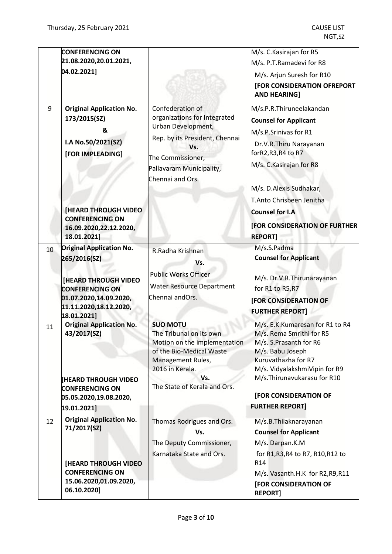|    | <b>CONFERENCING ON</b><br>21.08.2020,20.01.2021,<br>04.02.2021]                                                                                  |                                                                                                                                                                                       | M/s. C. Kasirajan for R5<br>M/s. P.T.Ramadevi for R8<br>M/s. Arjun Suresh for R10<br>[FOR CONSIDERATION OFREPORT<br><b>AND HEARING]</b>                                                                                                             |
|----|--------------------------------------------------------------------------------------------------------------------------------------------------|---------------------------------------------------------------------------------------------------------------------------------------------------------------------------------------|-----------------------------------------------------------------------------------------------------------------------------------------------------------------------------------------------------------------------------------------------------|
| 9  | <b>Original Application No.</b><br>173/2015(SZ)<br>&<br>I.A No.50/2021(SZ)<br>[FOR IMPLEADING]<br><b>[HEARD THROUGH VIDEO]</b>                   | Confederation of<br>organizations for Integrated<br>Urban Development,<br>Rep. by its President, Chennai<br>Vs.<br>The Commissioner,<br>Pallavaram Municipality,<br>Chennai and Ors.  | M/s.P.R.Thiruneelakandan<br><b>Counsel for Applicant</b><br>M/s.P.Srinivas for R1<br>Dr.V.R.Thiru Narayanan<br>forR2,R3,R4 to R7<br>M/s. C. Kasirajan for R8<br>M/s. D.Alexis Sudhakar,<br>T.Anto Chrisbeen Jenitha<br>Counsel for I.A              |
|    | <b>CONFERENCING ON</b><br>16.09.2020,22.12.2020,<br>18.01.2021]                                                                                  |                                                                                                                                                                                       | <b>FOR CONSIDERATION OF FURTHER</b><br><b>REPORT]</b>                                                                                                                                                                                               |
| 10 | <b>Original Application No.</b><br>265/2016(SZ)                                                                                                  | R.Radha Krishnan<br>Vs.                                                                                                                                                               | M/s.S.Padma<br><b>Counsel for Applicant</b>                                                                                                                                                                                                         |
|    | <b>[HEARD THROUGH VIDEO</b><br><b>CONFERENCING ON</b><br>01.07.2020,14.09.2020,<br>11.11.2020,18.12.2020,<br>18.01.2021]                         | <b>Public Works Officer</b><br><b>Water Resource Department</b><br>Chennai andOrs.                                                                                                    | M/s. Dr.V.R.Thirunarayanan<br>for R1 to R5, R7<br><b>FOR CONSIDERATION OF</b><br><b>FURTHER REPORT]</b>                                                                                                                                             |
| 11 | <b>Original Application No.</b><br>43/2017(SZ)<br><b>[HEARD THROUGH VIDEO</b><br><b>CONFERENCING ON</b><br>05.05.2020,19.08.2020,<br>19.01.2021] | <b>SUO MOTU</b><br>The Tribunal on its own<br>Motion on the implementation<br>of the Bio-Medical Waste<br>Management Rules,<br>2016 in Kerala.<br>Vs.<br>The State of Kerala and Ors. | M/s. E.K.Kumaresan for R1 to R4<br>M/s. Rema Smrithi for R5<br>M/s. S.Prasanth for R6<br>M/s. Babu Joseph<br>Kuruvathazha for R7<br>M/s. VidyalakshmiVipin for R9<br>M/s.Thirunavukarasu for R10<br>[FOR CONSIDERATION OF<br><b>FURTHER REPORT]</b> |
| 12 | <b>Original Application No.</b><br>71/2017(SZ)                                                                                                   | Thomas Rodrigues and Ors.<br>Vs.<br>The Deputy Commissioner,                                                                                                                          | M/s.B.Thilaknarayanan<br><b>Counsel for Applicant</b><br>M/s. Darpan.K.M                                                                                                                                                                            |
|    | <b>[HEARD THROUGH VIDEO</b><br><b>CONFERENCING ON</b><br>15.06.2020,01.09.2020,<br>06.10.2020]                                                   | Karnataka State and Ors.                                                                                                                                                              | for R1, R3, R4 to R7, R10, R12 to<br>R14<br>M/s. Vasanth.H.K for R2,R9,R11<br>[FOR CONSIDERATION OF<br><b>REPORT]</b>                                                                                                                               |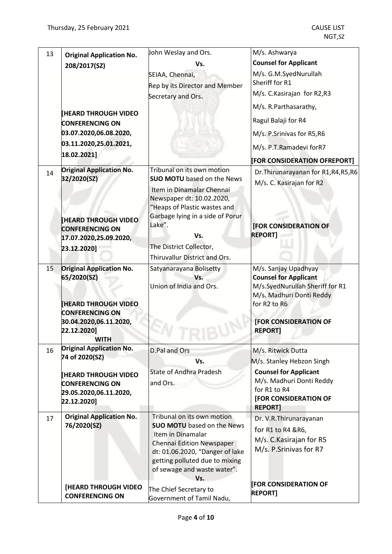| 13 | <b>Original Application No.</b>                                                                                                  | John Weslay and Ors.                                                                                                                                                                          | M/s. Ashwarya                                                                                                                                                       |
|----|----------------------------------------------------------------------------------------------------------------------------------|-----------------------------------------------------------------------------------------------------------------------------------------------------------------------------------------------|---------------------------------------------------------------------------------------------------------------------------------------------------------------------|
|    | 208/2017(SZ)                                                                                                                     | Vs.                                                                                                                                                                                           | <b>Counsel for Applicant</b>                                                                                                                                        |
|    |                                                                                                                                  | SEIAA, Chennai,<br>Rep by its Director and Member                                                                                                                                             | M/s. G.M.SyedNurullah<br>Sheriff for R1                                                                                                                             |
|    |                                                                                                                                  | Secretary and Ors.                                                                                                                                                                            | M/s. C. Kasirajan for R2, R3                                                                                                                                        |
|    |                                                                                                                                  |                                                                                                                                                                                               | M/s. R.Parthasarathy,                                                                                                                                               |
|    | <b>IHEARD THROUGH VIDEO</b><br><b>CONFERENCING ON</b>                                                                            |                                                                                                                                                                                               | Ragul Balaji for R4                                                                                                                                                 |
|    | 03.07.2020,06.08.2020,                                                                                                           |                                                                                                                                                                                               | M/s. P.Srinivas for R5,R6                                                                                                                                           |
|    | 03.11.2020,25.01.2021,                                                                                                           |                                                                                                                                                                                               | M/s. P.T.Ramadevi forR7                                                                                                                                             |
|    | 18.02.2021]                                                                                                                      |                                                                                                                                                                                               | [FOR CONSIDERATION OFREPORT]                                                                                                                                        |
| 14 | <b>Original Application No.</b><br>32/2020(SZ)<br><b>HEARD THROUGH VIDEO</b>                                                     | Tribunal on its own motion<br><b>SUO MOTU</b> based on the News<br>Item in Dinamalar Chennai<br>Newspaper dt: 10.02.2020,<br>"Heaps of Plastic wastes and<br>Garbage lying in a side of Porur | Dr. Thirunarayanan for R1, R4, R5, R6<br>M/s. C. Kasirajan for R2                                                                                                   |
|    | <b>CONFERENCING ON</b><br>17.07.2020,25.09.2020,                                                                                 | Lake".<br>Vs.                                                                                                                                                                                 | <b>[FOR CONSIDERATION OF</b><br><b>REPORT1</b>                                                                                                                      |
|    | 23.12.2020]                                                                                                                      | The District Collector,                                                                                                                                                                       |                                                                                                                                                                     |
|    |                                                                                                                                  | Thiruvallur District and Ors.                                                                                                                                                                 |                                                                                                                                                                     |
| 15 | <b>Original Application No.</b><br>65/2020(SZ)<br><b>HEARD THROUGH VIDEO</b><br><b>CONFERENCING ON</b><br>30.04.2020,06.11.2020, | Satyanarayana Bolisetty<br>Vs.<br>Union of India and Ors.                                                                                                                                     | M/s. Sanjay Upadhyay<br><b>Counsel for Applicant</b><br>M/s.SyedNurullah Sheriff for R1<br>M/s. Madhuri Donti Reddy<br>for R2 to R6<br><b>[FOR CONSIDERATION OF</b> |
|    | 22.12.2020]<br><b>WITH</b>                                                                                                       |                                                                                                                                                                                               | <b>REPORT]</b>                                                                                                                                                      |
| 16 | <b>Original Application No.</b>                                                                                                  | D.Pal and Ors                                                                                                                                                                                 | M/s. Ritwick Dutta                                                                                                                                                  |
|    | 74 of 2020(SZ)                                                                                                                   | Vs.                                                                                                                                                                                           | M/s. Stanley Hebzon Singh                                                                                                                                           |
|    | <b>HEARD THROUGH VIDEO</b><br><b>CONFERENCING ON</b><br>29.05.2020,06.11.2020,<br>22.12.2020]                                    | <b>State of Andhra Pradesh</b><br>and Ors.                                                                                                                                                    | <b>Counsel for Applicant</b><br>M/s. Madhuri Donti Reddy<br>for R1 to R4<br>[FOR CONSIDERATION OF<br><b>REPORT]</b>                                                 |
| 17 | <b>Original Application No.</b><br>76/2020(SZ)                                                                                   | Tribunal on its own motion<br><b>SUO MOTU</b> based on the News                                                                                                                               | Dr. V.R. Thirunarayanan                                                                                                                                             |
|    |                                                                                                                                  | Item in Dinamalar<br>Chennai Edition Newspaper<br>dt: 01.06.2020, "Danger of lake<br>getting polluted due to mixing<br>of sewage and waste water".<br>Vs.                                     | for R1 to R4 & R6,<br>M/s. C. Kasirajan for R5<br>M/s. P.Srinivas for R7                                                                                            |
|    | [HEARD THROUGH VIDEO<br><b>CONFERENCING ON</b>                                                                                   | The Chief Secretary to<br>Government of Tamil Nadu,                                                                                                                                           | <b>FOR CONSIDERATION OF</b><br><b>REPORT]</b>                                                                                                                       |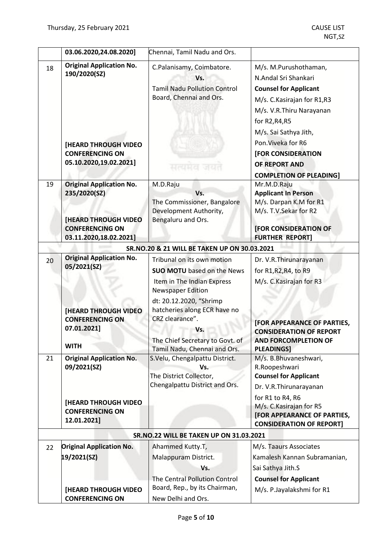|                                         | 03.06.2020,24.08.2020]                                                                                                             | Chennai, Tamil Nadu and Ors.                                                                                                                                                                                                                      |                                                                                                                                                                                                                                                                                     |
|-----------------------------------------|------------------------------------------------------------------------------------------------------------------------------------|---------------------------------------------------------------------------------------------------------------------------------------------------------------------------------------------------------------------------------------------------|-------------------------------------------------------------------------------------------------------------------------------------------------------------------------------------------------------------------------------------------------------------------------------------|
| 18                                      | <b>Original Application No.</b><br>190/2020(SZ)<br><b>[HEARD THROUGH VIDEO</b><br><b>CONFERENCING ON</b><br>05.10.2020,19.02.2021] | C.Palanisamy, Coimbatore.<br>Vs.<br><b>Tamil Nadu Pollution Control</b><br>Board, Chennai and Ors.<br>सत्यमय जयत                                                                                                                                  | M/s. M.Purushothaman,<br>N.Andal Sri Shankari<br><b>Counsel for Applicant</b><br>M/s. C. Kasirajan for R1,R3<br>M/s. V.R. Thiru Narayanan<br>for R2, R4, R5<br>M/s. Sai Sathya Jith,<br>Pon. Viveka for R6<br>[FOR CONSIDERATION<br>OF REPORT AND<br><b>COMPLETION OF PLEADING]</b> |
| 19                                      | <b>Original Application No.</b><br>235/2020(SZ)<br><b>[HEARD THROUGH VIDEO</b><br><b>CONFERENCING ON</b><br>03.11.2020,18.02.2021] | M.D.Raju<br>Vs.<br>The Commissioner, Bangalore<br>Development Authority,<br>Bengaluru and Ors.                                                                                                                                                    | Mr.M.D.Raju<br><b>Applicant In Person</b><br>M/s. Darpan K.M for R1<br>M/s. T.V.Sekar for R2<br><b>[FOR CONSIDERATION OF</b><br><b>FURTHER REPORT]</b>                                                                                                                              |
|                                         |                                                                                                                                    | SR.NO.20 & 21 WILL BE TAKEN UP ON 30.03.2021                                                                                                                                                                                                      |                                                                                                                                                                                                                                                                                     |
| 20                                      | <b>Original Application No.</b><br>05/2021(SZ)<br><b>[HEARD THROUGH VIDEO</b><br><b>CONFERENCING ON</b><br>07.01.2021]             | Tribunal on its own motion<br><b>SUO MOTU</b> based on the News<br>Item in The Indian Express<br><b>Newspaper Edition</b><br>dt: 20.12.2020, "Shrimp<br>hatcheries along ECR have no<br>CRZ clearance".<br>Vs.<br>The Chief Secretary to Govt. of | Dr. V.R. Thirunarayanan<br>for R1, R2, R4, to R9<br>M/s. C. Kasirajan for R3<br>[FOR APPEARANCE OF PARTIES,<br><b>CONSIDERATION OF REPORT</b><br><b>AND FORCOMPLETION OF</b>                                                                                                        |
|                                         | <b>WITH</b>                                                                                                                        | Tamil Nadu, Chennai and Ors.                                                                                                                                                                                                                      | <b>PLEADINGS]</b>                                                                                                                                                                                                                                                                   |
| 21                                      | <b>Original Application No.</b><br>09/2021(SZ)                                                                                     | S.Velu, Chengalpattu District.<br>Vs.<br>The District Collector,<br>Chengalpattu District and Ors.                                                                                                                                                | M/s. B.Bhuvaneshwari,<br>R.Roopeshwari<br><b>Counsel for Applicant</b><br>Dr. V.R. Thirunarayanan<br>for R1 to R4, R6                                                                                                                                                               |
|                                         | <b>[HEARD THROUGH VIDEO</b><br><b>CONFERENCING ON</b><br>12.01.2021]                                                               |                                                                                                                                                                                                                                                   | M/s. C. Kasirajan for R5<br>[FOR APPEARANCE OF PARTIES,<br><b>CONSIDERATION OF REPORT]</b>                                                                                                                                                                                          |
| SR.NO.22 WILL BE TAKEN UP ON 31.03.2021 |                                                                                                                                    |                                                                                                                                                                                                                                                   |                                                                                                                                                                                                                                                                                     |
| 22                                      | <b>Original Application No.</b><br>19/2021(SZ)<br>[HEARD THROUGH VIDEO                                                             | Ahammed Kutty.T,<br>Malappuram District.<br>Vs.<br>The Central Pollution Control<br>Board, Rep., by its Chairman,                                                                                                                                 | M/s. Taaurs Associates<br>Kamalesh Kannan Subramanian,<br>Sai Sathya Jith.S<br><b>Counsel for Applicant</b><br>M/s. P.Jayalakshmi for R1                                                                                                                                            |
|                                         | <b>CONFERENCING ON</b>                                                                                                             | New Delhi and Ors.                                                                                                                                                                                                                                |                                                                                                                                                                                                                                                                                     |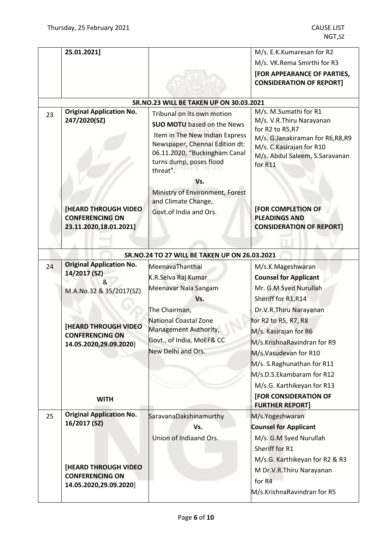|    | 25.01.2021]                                                                                                                                                                       |                                                                                                                                                                                                                    | M/s. E.K.Kumaresan for R2                                                                                                                                                                                                                                                                                                                              |
|----|-----------------------------------------------------------------------------------------------------------------------------------------------------------------------------------|--------------------------------------------------------------------------------------------------------------------------------------------------------------------------------------------------------------------|--------------------------------------------------------------------------------------------------------------------------------------------------------------------------------------------------------------------------------------------------------------------------------------------------------------------------------------------------------|
|    |                                                                                                                                                                                   |                                                                                                                                                                                                                    | M/s. VK.Rema Smirthi for R3                                                                                                                                                                                                                                                                                                                            |
|    |                                                                                                                                                                                   |                                                                                                                                                                                                                    | [FOR APPEARANCE OF PARTIES,<br><b>CONSIDERATION OF REPORT]</b>                                                                                                                                                                                                                                                                                         |
|    |                                                                                                                                                                                   | <b>SR.NO.23 WILL BE TAKEN UP ON 30.03.2021</b>                                                                                                                                                                     |                                                                                                                                                                                                                                                                                                                                                        |
| 23 | <b>Original Application No.</b><br>247/2020(SZ)                                                                                                                                   | Tribunal on its own motion<br><b>SUO MOTU</b> based on the News<br>Item in The New Indian Express<br>Newspaper, Chennai Edition dt:<br>06.11.2020, "Buckingham Canal<br>turns dump, poses flood<br>threat".<br>Vs. | M/s. M.Sumathi for R1<br>M/s. V.R.Thiru Narayanan<br>for R2 to R5, R7<br>M/s. G.Janakiraman for R6,R8,R9<br>M/s. C. Kasirajan for R10<br>M/s. Abdul Saleem, S.Saravanan<br>for R11                                                                                                                                                                     |
|    | <b>[HEARD THROUGH VIDEO</b><br><b>CONFERENCING ON</b><br>23.11.2020,18.01.2021]                                                                                                   | Ministry of Environment, Forest<br>and Climate Change,<br>Govt.of India and Ors.                                                                                                                                   | [FOR COMPLETION OF<br><b>PLEADINGS AND</b><br><b>CONSIDERATION OF REPORT]</b>                                                                                                                                                                                                                                                                          |
|    |                                                                                                                                                                                   | SR.NO.24 TO 27 WILL BE TAKEN UP ON 26.03.2021                                                                                                                                                                      |                                                                                                                                                                                                                                                                                                                                                        |
| 24 | <b>Original Application No.</b><br>14/2017 (SZ)<br>&<br>M.A.No.32 & 35/2017(SZ)<br><b>[HEARD THROUGH VIDEO</b><br><b>CONFERENCING ON</b><br>14.05.2020,29.09.2020]<br><b>WITH</b> | MeenavaThanthai<br>K.R.Selva Raj Kumar<br>Meenavar Nala Sangam<br>Vs.<br>The Chairman,<br><b>National Coastal Zone</b><br>Management Authority,<br>Govt., of India, MoEF& CC<br>New Delhi and Ors.                 | M/s.K.Mageshwaran<br><b>Counsel for Applicant</b><br>Mr. G.M Syed Nurullah<br>Sheriff for R1, R14<br>Dr.V.R.Thiru Narayanan<br>for R2 to R5, R7, R8<br>M/s. Kasirajan for R6<br>M/s.KrishnaRavindran for R9<br>M/s.Vasudevan for R10<br>M/s. S.Raghunathan for R11<br>M/s.D.S.Ekambaram for R12<br>M/s.G. Karthikeyan for R13<br>[FOR CONSIDERATION OF |
| 25 | <b>Original Application No.</b>                                                                                                                                                   | SaravanaDakshinamurthy                                                                                                                                                                                             | <b>FURTHER REPORT]</b><br>M/s.Yogeshwaran                                                                                                                                                                                                                                                                                                              |
|    | 16/2017 (SZ)<br><b>[HEARD THROUGH VIDEO</b>                                                                                                                                       | Vs.<br>Union of Indiaand Ors.                                                                                                                                                                                      | <b>Counsel for Applicant</b><br>M/s. G.M Syed Nurullah<br>Sheriff for R1<br>M/s.G. Karthikeyan for R2 & R3<br>M Dr.V.R.Thiru Narayanan                                                                                                                                                                                                                 |
|    | <b>CONFERENCING ON</b><br>14.05.2020,29.09.2020]                                                                                                                                  |                                                                                                                                                                                                                    | for R4<br>M/s.KrishnaRavindran for R5                                                                                                                                                                                                                                                                                                                  |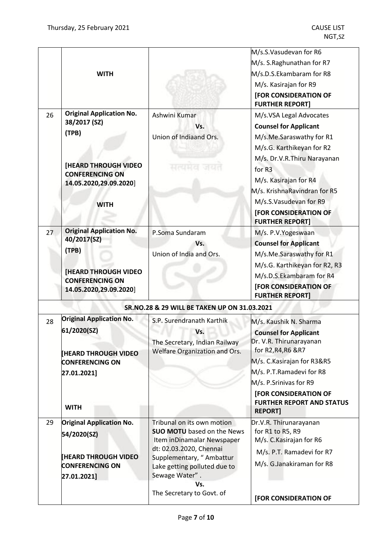|    | <b>WITH</b>                                                                                                                                                |                                                                                                                                                                                                                                            | M/s.S.Vasudevan for R6<br>M/s. S.Raghunathan for R7<br>M/s.D.S.Ekambaram for R8<br>M/s. Kasirajan for R9<br>[FOR CONSIDERATION OF<br><b>FURTHER REPORT]</b>                                                                                                                                                 |
|----|------------------------------------------------------------------------------------------------------------------------------------------------------------|--------------------------------------------------------------------------------------------------------------------------------------------------------------------------------------------------------------------------------------------|-------------------------------------------------------------------------------------------------------------------------------------------------------------------------------------------------------------------------------------------------------------------------------------------------------------|
| 26 | <b>Original Application No.</b><br>38/2017 (SZ)<br>(TPB)<br><b>[HEARD THROUGH VIDEO</b><br><b>CONFERENCING ON</b><br>14.05.2020,29.09.2020]<br><b>WITH</b> | Ashwini Kumar<br>Vs.<br>Union of Indiaand Ors.<br>सत्यमव                                                                                                                                                                                   | M/s.VSA Legal Advocates<br><b>Counsel for Applicant</b><br>M/s.Me.Saraswathy for R1<br>M/s.G. Karthikeyan for R2<br>M/s. Dr.V.R.Thiru Narayanan<br>for R <sub>3</sub><br>M/s. Kasirajan for R4<br>M/s. KrishnaRavindran for R5<br>M/s.S.Vasudevan for R9<br>[FOR CONSIDERATION OF<br><b>FURTHER REPORT]</b> |
| 27 | <b>Original Application No.</b><br>40/2017(SZ)<br>(TPB)<br><b>[HEARD THROUGH VIDEO</b><br><b>CONFERENCING ON</b><br>14.05.2020,29.09.2020]                 | P.Soma Sundaram<br>Vs.<br>Union of India and Ors.                                                                                                                                                                                          | M/s. P.V.Yogeswaan<br><b>Counsel for Applicant</b><br>M/s.Me.Saraswathy for R1<br>M/s.G. Karthikeyan for R2, R3<br>M/s.D.S.Ekambaram for R4<br><b>[FOR CONSIDERATION OF</b><br><b>FURTHER REPORT]</b>                                                                                                       |
|    |                                                                                                                                                            | SR.NO.28 & 29 WILL BE TAKEN UP ON 31.03.2021                                                                                                                                                                                               |                                                                                                                                                                                                                                                                                                             |
| 28 | <b>Original Application No.</b><br>61/2020(SZ)<br><b>[HEARD THROUGH VIDEO</b><br><b>CONFERENCING ON</b><br>27.01.2021]<br><b>WITH</b>                      | S.P. Surendranath Karthik<br>Vs.<br>The Secretary, Indian Railway<br>Welfare Organization and Ors.                                                                                                                                         | M/s. Kaushik N. Sharma<br><b>Counsel for Applicant</b><br>Dr. V.R. Thirunarayanan<br>for R2, R4, R6 & R7<br>M/s. C. Kasirajan for R3&R5<br>M/s. P.T.Ramadevi for R8<br>M/s. P.Srinivas for R9<br>[FOR CONSIDERATION OF<br><b>FURTHER REPORT AND STATUS</b><br><b>REPORT1</b>                                |
| 29 | <b>Original Application No.</b><br>54/2020(SZ)<br><b>IHEARD THROUGH VIDEO</b><br><b>CONFERENCING ON</b><br>27.01.2021]                                     | Tribunal on its own motion<br><b>SUO MOTU</b> based on the News<br>Item inDinamalar Newspaper<br>dt: 02.03.2020, Chennai<br>Supplementary, "Ambattur<br>Lake getting polluted due to<br>Sewage Water".<br>Vs.<br>The Secretary to Govt. of | Dr.V.R. Thirunarayanan<br>for R1 to R5, R9<br>M/s. C. Kasirajan for R6<br>M/s. P.T. Ramadevi for R7<br>M/s. G.Janakiraman for R8<br>[FOR CONSIDERATION OF                                                                                                                                                   |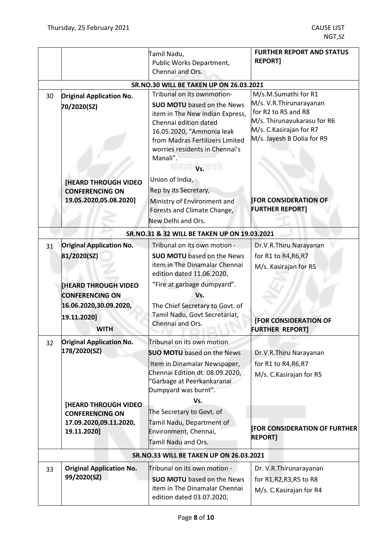|    |                                                                                                               | Tamil Nadu,<br>Public Works Department,<br>Chennai and Ors.                                                                                                                                                                                             | <b>FURTHER REPORT AND STATUS</b><br><b>REPORT]</b>                                                                                                               |
|----|---------------------------------------------------------------------------------------------------------------|---------------------------------------------------------------------------------------------------------------------------------------------------------------------------------------------------------------------------------------------------------|------------------------------------------------------------------------------------------------------------------------------------------------------------------|
|    |                                                                                                               | <b>SR.NO.30 WILL BE TAKEN UP ON 26.03.2021</b>                                                                                                                                                                                                          |                                                                                                                                                                  |
| 30 | <b>Original Application No.</b><br>70/2020(SZ)                                                                | Tribunal on its ownmotion-<br><b>SUO MOTU</b> based on the News<br>item in The New Indian Express,<br>Chennai edition dated<br>16.05.2020, "Ammonia leak<br>from Madras Fertilizers Limited<br>worries residents in Chennai's<br>Manali".<br><b>Vs.</b> | M/s.M.Sumathi for R1<br>M/s. V.R. Thirunarayanan<br>for R2 to R5 and R8<br>M/s. Thirunavukarasu for R6<br>M/s. C. Kasirajan for R7<br>M/s. Jayesh B Dolia for R9 |
|    | <b>[HEARD THROUGH VIDEO</b><br><b>CONFERENCING ON</b><br>19.05.2020,05.08.2020]                               | Union of India,<br>Rep by its Secretary,<br>Ministry of Environment and<br>Forests and Climate Change,<br>New Delhi and Ors.                                                                                                                            | <b>FOR CONSIDERATION OF</b><br><b>FURTHER REPORT]</b>                                                                                                            |
|    |                                                                                                               | SR.NO.31 & 32 WILL BE TAKEN UP ON 19.03.2021                                                                                                                                                                                                            |                                                                                                                                                                  |
| 31 | <b>Original Application No.</b><br>81/2020(SZ)                                                                | Tribunal on its own motion -<br><b>SUO MOTU</b> based on the News<br>item in The Dinamalar Chennai<br>edition dated 11.06.2020,                                                                                                                         | Dr.V.R.Thiru Narayanan<br>for R1 to R4, R6, R7<br>M/s. Kasirajan for R5                                                                                          |
|    | <b>[HEARD THROUGH VIDEO</b><br><b>CONFERENCING ON</b><br>16.06.2020,30.09.2020,<br>19.11.2020]<br><b>WITH</b> | "Fire at garbage dumpyard".<br>Vs.<br>The Chief Secretary to Govt. of<br>Tamil Nadu, Govt Secretariat,<br>Chennai and Ors.                                                                                                                              | [FOR CONSIDERATION OF<br><b>FURTHER REPORT]</b>                                                                                                                  |
| 32 | <b>Original Application No.</b><br>178/2020(SZ)<br>[HEARD THROUGH VIDEO                                       | Tribunal on its own motion<br><b>SUO MOTU</b> based on the News<br>Item in Dinamalar Newspaper,<br>Chennai Edition dt: 08.09.2020,<br>"Garbage at Peerkankaranai<br>Dumpyard was burnt".<br>Vs.                                                         | Dr.V.R.Thiru Narayanan<br>for R1 to R4, R6, R7<br>M/s. C. Kasirajan for R5                                                                                       |
|    | <b>CONFERENCING ON</b><br>17.09.2020,09.11.2020,<br>19.11.2020]                                               | The Secretary to Govt. of<br>Tamil Nadu, Department of<br>Environment, Chennai,<br>Tamil Nadu and Ors.                                                                                                                                                  | <b>FOR CONSIDERATION OF FURTHER</b><br><b>REPORT]</b>                                                                                                            |
|    |                                                                                                               | <b>SR.NO.33 WILL BE TAKEN UP ON 26.03.2021</b>                                                                                                                                                                                                          |                                                                                                                                                                  |
| 33 | <b>Original Application No.</b><br>99/2020(SZ)                                                                | Tribunal on its own motion -<br><b>SUO MOTU</b> based on the News<br>item in The Dinamalar Chennai<br>edition dated 03.07.2020,                                                                                                                         | Dr. V.R. Thirunarayanan<br>for R1, R2, R3, R5 to R8<br>M/s. C. Kasirajan for R4                                                                                  |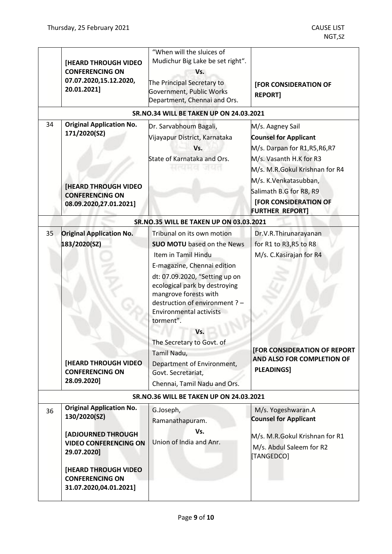|                                                | [HEARD THROUGH VIDEO<br><b>CONFERENCING ON</b><br>07.07.2020,15.12.2020,<br>20.01.2021]                                                                                                                 | "When will the sluices of<br>Mudichur Big Lake be set right".<br>Vs.<br>The Principal Secretary to<br>Government, Public Works<br>Department, Chennai and Ors.                                                                                                                                                                                                                                                                            | [FOR CONSIDERATION OF<br><b>REPORT]</b>                                                                                                                                                                                                                       |
|------------------------------------------------|---------------------------------------------------------------------------------------------------------------------------------------------------------------------------------------------------------|-------------------------------------------------------------------------------------------------------------------------------------------------------------------------------------------------------------------------------------------------------------------------------------------------------------------------------------------------------------------------------------------------------------------------------------------|---------------------------------------------------------------------------------------------------------------------------------------------------------------------------------------------------------------------------------------------------------------|
|                                                |                                                                                                                                                                                                         | <b>SR.NO.34 WILL BE TAKEN UP ON 24.03.2021</b>                                                                                                                                                                                                                                                                                                                                                                                            |                                                                                                                                                                                                                                                               |
| 34                                             | <b>Original Application No.</b><br>171/2020(SZ)<br><b>[HEARD THROUGH VIDEO</b><br><b>CONFERENCING ON</b><br>08.09.2020,27.01.2021]                                                                      | Dr. Sarvabhoum Bagali,<br>Vijayapur District, Karnataka<br>Vs.<br>State of Karnataka and Ors.<br>સત્યમન जयत                                                                                                                                                                                                                                                                                                                               | M/s. Aagney Sail<br><b>Counsel for Applicant</b><br>M/s. Darpan for R1, R5, R6, R7<br>M/s. Vasanth H.K for R3<br>M/s. M.R.Gokul Krishnan for R4<br>M/s. K.Venkatasubban,<br>Salimath B.G for R8, R9<br><b>[FOR CONSIDERATION OF</b><br><b>FURTHER REPORT]</b> |
|                                                |                                                                                                                                                                                                         | SR.NO.35 WILL BE TAKEN UP ON 03.03.2021                                                                                                                                                                                                                                                                                                                                                                                                   |                                                                                                                                                                                                                                                               |
| 35                                             | <b>Original Application No.</b><br>183/2020(SZ)<br><b>[HEARD THROUGH VIDEO</b><br><b>CONFERENCING ON</b><br>28.09.2020]                                                                                 | Tribunal on its own motion<br><b>SUO MOTU</b> based on the News<br>Item in Tamil Hindu<br>E-magazine, Chennai edition<br>dt: 07.09.2020, "Setting up on<br>ecological park by destroying<br>mangrove forests with<br>destruction of environment ? -<br><b>Environmental activists</b><br>torment".<br>Vs.<br>The Secretary to Govt. of<br>Tamil Nadu,<br>Department of Environment,<br>Govt. Secretariat,<br>Chennai, Tamil Nadu and Ors. | Dr.V.R.Thirunarayanan<br>for R1 to R3, R5 to R8<br>M/s. C. Kasirajan for R4<br>[FOR CONSIDERATION OF REPORT<br>AND ALSO FOR COMPLETION OF<br><b>PLEADINGS]</b>                                                                                                |
| <b>SR.NO.36 WILL BE TAKEN UP ON 24.03.2021</b> |                                                                                                                                                                                                         |                                                                                                                                                                                                                                                                                                                                                                                                                                           |                                                                                                                                                                                                                                                               |
| 36                                             | <b>Original Application No.</b><br>130/2020(SZ)<br>[ADJOURNED THROUGH<br><b>VIDEO CONFERENCING ON</b><br>29.07.2020]<br><b>[HEARD THROUGH VIDEO</b><br><b>CONFERENCING ON</b><br>31.07.2020,04.01.2021] | G.Joseph,<br>Ramanathapuram.<br>Vs.<br>Union of India and Anr.                                                                                                                                                                                                                                                                                                                                                                            | M/s. Yogeshwaran.A<br><b>Counsel for Applicant</b><br>M/s. M.R.Gokul Krishnan for R1<br>M/s. Abdul Saleem for R2<br>[TANGEDCO]                                                                                                                                |